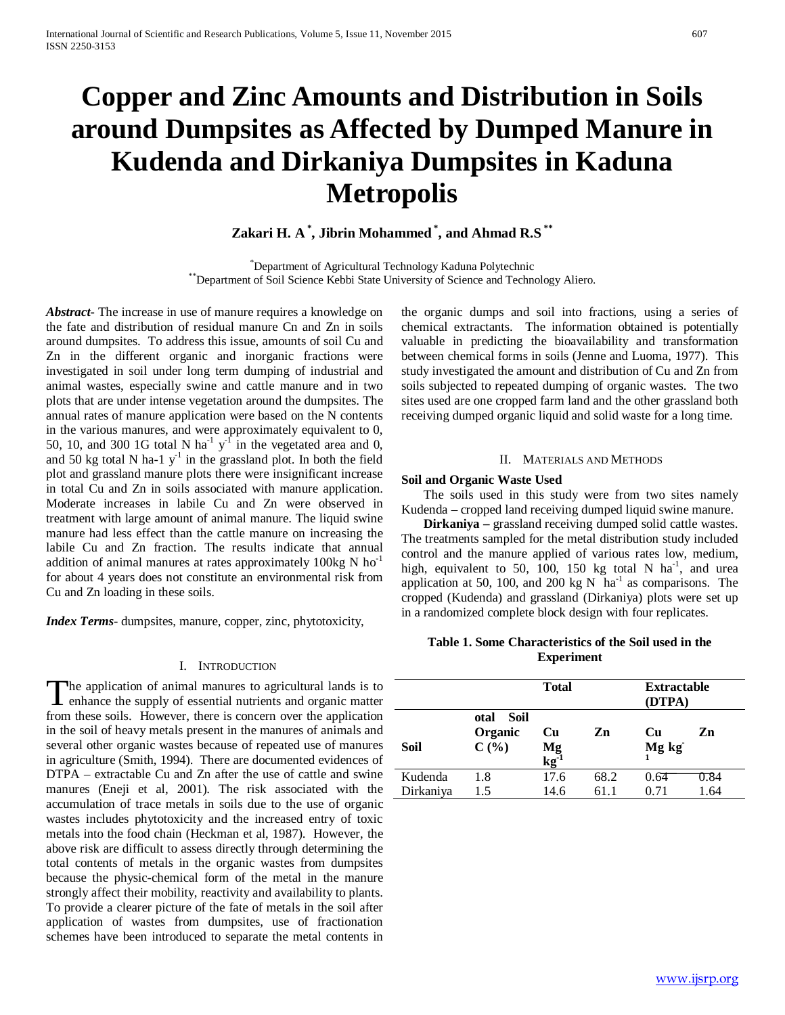# **Copper and Zinc Amounts and Distribution in Soils around Dumpsites as Affected by Dumped Manure in Kudenda and Dirkaniya Dumpsites in Kaduna Metropolis**

## **Zakari H. A \* , Jibrin Mohammed \* , and Ahmad R.S \*\***

\*Department of Agricultural Technology Kaduna Polytechnic \*\*Department of Soil Science Kebbi State University of Science and Technology Aliero.

*Abstract***-** The increase in use of manure requires a knowledge on the fate and distribution of residual manure Cn and Zn in soils around dumpsites. To address this issue, amounts of soil Cu and Zn in the different organic and inorganic fractions were investigated in soil under long term dumping of industrial and animal wastes, especially swine and cattle manure and in two plots that are under intense vegetation around the dumpsites. The annual rates of manure application were based on the N contents in the various manures, and were approximately equivalent to 0, 50, 10, and 300 1G total N ha<sup>-1</sup> y<sup>-1</sup> in the vegetated area and 0, and 50 kg total N ha-1  $y^{-1}$  in the grassland plot. In both the field plot and grassland manure plots there were insignificant increase in total Cu and Zn in soils associated with manure application. Moderate increases in labile Cu and Zn were observed in treatment with large amount of animal manure. The liquid swine manure had less effect than the cattle manure on increasing the labile Cu and Zn fraction. The results indicate that annual addition of animal manures at rates approximately 100kg N ho<sup>-1</sup> for about 4 years does not constitute an environmental risk from Cu and Zn loading in these soils.

*Index Terms*- dumpsites, manure, copper, zinc, phytotoxicity,

### I. INTRODUCTION

The application of animal manures to agricultural lands is to The application of animal manures to agricultural lands is to enhance the supply of essential nutrients and organic matter for the subset from these soils. However, there is concern over the application in the soil of heavy metals present in the manures of animals and several other organic wastes because of repeated use of manures in agriculture (Smith, 1994). There are documented evidences of DTPA – extractable Cu and Zn after the use of cattle and swine manures (Eneji et al, 2001). The risk associated with the accumulation of trace metals in soils due to the use of organic wastes includes phytotoxicity and the increased entry of toxic metals into the food chain (Heckman et al, 1987). However, the above risk are difficult to assess directly through determining the total contents of metals in the organic wastes from dumpsites because the physic-chemical form of the metal in the manure strongly affect their mobility, reactivity and availability to plants. To provide a clearer picture of the fate of metals in the soil after application of wastes from dumpsites, use of fractionation schemes have been introduced to separate the metal contents in

the organic dumps and soil into fractions, using a series of chemical extractants. The information obtained is potentially valuable in predicting the bioavailability and transformation between chemical forms in soils (Jenne and Luoma, 1977). This study investigated the amount and distribution of Cu and Zn from soils subjected to repeated dumping of organic wastes. The two sites used are one cropped farm land and the other grassland both receiving dumped organic liquid and solid waste for a long time.

#### II. MATERIALS AND METHODS

#### **Soil and Organic Waste Used**

 The soils used in this study were from two sites namely Kudenda – cropped land receiving dumped liquid swine manure.

 **Dirkaniya –** grassland receiving dumped solid cattle wastes. The treatments sampled for the metal distribution study included control and the manure applied of various rates low, medium, high, equivalent to 50,  $100$ , 150 kg total N ha<sup>-1</sup>, and urea application at 50, 100, and 200 kg N  $\ \text{ha}^{-1}$  as comparisons. The cropped (Kudenda) and grassland (Dirkaniya) plots were set up in a randomized complete block design with four replicates.

## **Table 1. Some Characteristics of the Soil used in the Experiment**

|                      |                                     | <b>Total</b>         |              | <b>Extractable</b><br>(DTPA) |              |  |
|----------------------|-------------------------------------|----------------------|--------------|------------------------------|--------------|--|
| <b>Soil</b>          | -Soil<br>otal<br>Organic<br>$C(\%)$ | Cu<br>$Mg$<br>$kg-1$ | Zn           | Cu<br>Mg kg                  | Zn           |  |
| Kudenda<br>Dirkaniya | 1.8<br>1.5                          | 17.6<br>14.6         | 68.2<br>61.1 | 0.64<br>0.71                 | 0.84<br>1.64 |  |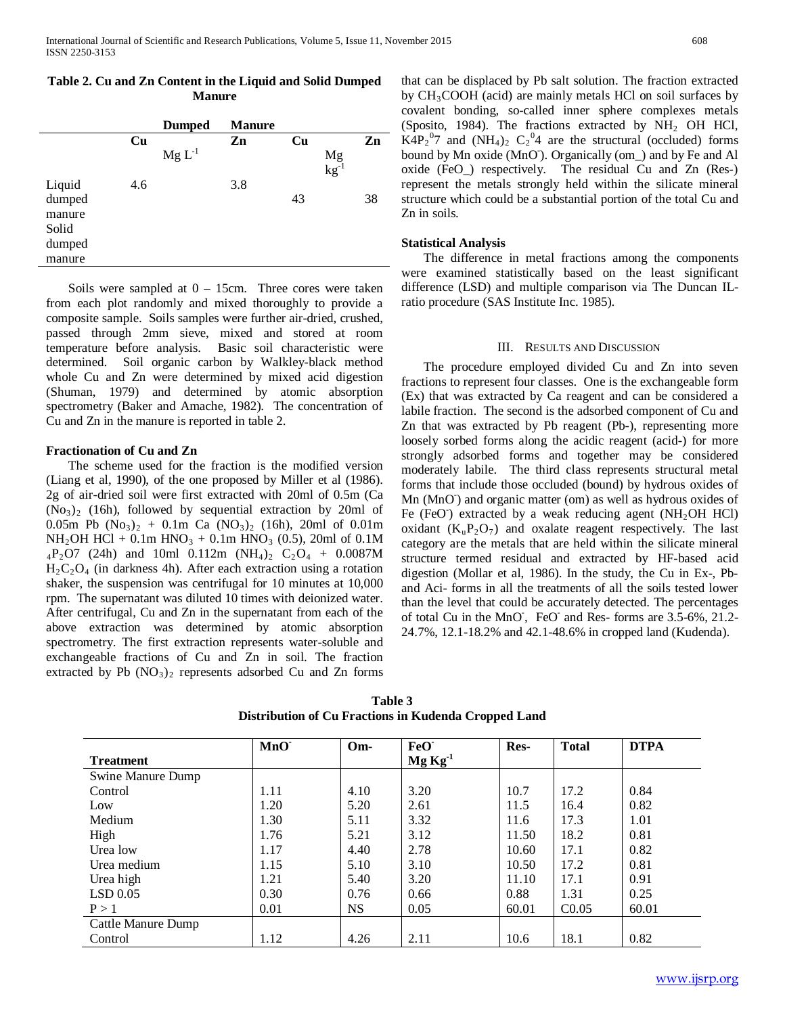|  | Table 2. Cu and Zn Content in the Liquid and Solid Dumped |  |  |
|--|-----------------------------------------------------------|--|--|
|  | <b>Manure</b>                                             |  |  |

|        |     | <b>Dumped</b> | <b>Manure</b> |    |                                  |    |
|--------|-----|---------------|---------------|----|----------------------------------|----|
|        | Cu  |               | Zn            | Cu |                                  | Zn |
|        |     | $Mg L^{-1}$   |               |    | $Mg$ <sub>kg</sub> <sup>-1</sup> |    |
| Liquid | 4.6 |               | 3.8           |    |                                  |    |
| dumped |     |               |               | 43 |                                  | 38 |
| manure |     |               |               |    |                                  |    |
| Solid  |     |               |               |    |                                  |    |
| dumped |     |               |               |    |                                  |    |
| manure |     |               |               |    |                                  |    |

Soils were sampled at  $0 - 15$ cm. Three cores were taken from each plot randomly and mixed thoroughly to provide a composite sample. Soils samples were further air-dried, crushed, passed through 2mm sieve, mixed and stored at room temperature before analysis. Basic soil characteristic were determined. Soil organic carbon by Walkley-black method whole Cu and Zn were determined by mixed acid digestion (Shuman, 1979) and determined by atomic absorption spectrometry (Baker and Amache, 1982). The concentration of Cu and Zn in the manure is reported in table 2.

## **Fractionation of Cu and Zn**

 The scheme used for the fraction is the modified version (Liang et al, 1990), of the one proposed by Miller et al (1986). 2g of air-dried soil were first extracted with 20ml of 0.5m (Ca  $(No<sub>3</sub>)<sub>2</sub>$  (16h), followed by sequential extraction by 20ml of 0.05m Pb  $(No_3)_2 + 0.1m$  Ca  $(NO_3)_2$  (16h), 20ml of 0.01m NH<sub>2</sub>OH HCl + 0.1m HNO<sub>3</sub> + 0.1m HNO<sub>3</sub> (0.5), 20ml of 0.1M  $_4P_2O7$  (24h) and 10ml 0.112m (NH<sub>4</sub>)<sub>2</sub> C<sub>2</sub>O<sub>4</sub> + 0.0087M  $H_2C_2O_4$  (in darkness 4h). After each extraction using a rotation shaker, the suspension was centrifugal for 10 minutes at 10,000 rpm. The supernatant was diluted 10 times with deionized water. After centrifugal, Cu and Zn in the supernatant from each of the above extraction was determined by atomic absorption spectrometry. The first extraction represents water-soluble and exchangeable fractions of Cu and Zn in soil. The fraction extracted by Pb  $(NO<sub>3</sub>)<sub>2</sub>$  represents adsorbed Cu and Zn forms that can be displaced by Pb salt solution. The fraction extracted by  $CH<sub>3</sub>COOH$  (acid) are mainly metals HCl on soil surfaces by covalent bonding, so-called inner sphere complexes metals (Sposito, 1984). The fractions extracted by  $NH<sub>2</sub>$  OH HCl,  $K4P_2^0$  and  $(NH_4)_2$   $C_2^0$  are the structural (occluded) forms bound by Mn oxide (MnO<sup>-</sup>). Organically (om<sub>-</sub>) and by Fe and Al oxide (FeO\_) respectively. The residual Cu and Zn (Res-) represent the metals strongly held within the silicate mineral structure which could be a substantial portion of the total Cu and Zn in soils.

## **Statistical Analysis**

 The difference in metal fractions among the components were examined statistically based on the least significant difference (LSD) and multiple comparison via The Duncan ILratio procedure (SAS Institute Inc. 1985).

## III. RESULTS AND DISCUSSION

 The procedure employed divided Cu and Zn into seven fractions to represent four classes. One is the exchangeable form (Ex) that was extracted by Ca reagent and can be considered a labile fraction. The second is the adsorbed component of Cu and Zn that was extracted by Pb reagent (Pb-), representing more loosely sorbed forms along the acidic reagent (acid-) for more strongly adsorbed forms and together may be considered moderately labile. The third class represents structural metal forms that include those occluded (bound) by hydrous oxides of Mn (MnO) and organic matter (om) as well as hydrous oxides of Fe (FeO) extracted by a weak reducing agent (NH<sub>2</sub>OH HCl) oxidant  $(K_uP_2O_7)$  and oxalate reagent respectively. The last category are the metals that are held within the silicate mineral structure termed residual and extracted by HF-based acid digestion (Mollar et al, 1986). In the study, the Cu in Ex-, Pband Aci- forms in all the treatments of all the soils tested lower than the level that could be accurately detected. The percentages of total Cu in the MnO, FeO and Res- forms are 3.5-6%, 21.2-24.7%, 12.1-18.2% and 42.1-48.6% in cropped land (Kudenda).

| Table 3 |                                                             |  |  |  |  |  |  |  |
|---------|-------------------------------------------------------------|--|--|--|--|--|--|--|
|         | <b>Distribution of Cu Fractions in Kudenda Cropped Land</b> |  |  |  |  |  |  |  |

|                           | MnO  | Om-  | FeO <sup>-</sup>  | Res-  | <b>Total</b>      | <b>DTPA</b> |
|---------------------------|------|------|-------------------|-------|-------------------|-------------|
| <b>Treatment</b>          |      |      | MgKg <sup>1</sup> |       |                   |             |
| Swine Manure Dump         |      |      |                   |       |                   |             |
| Control                   | 1.11 | 4.10 | 3.20              | 10.7  | 17.2              | 0.84        |
| Low                       | 1.20 | 5.20 | 2.61              | 11.5  | 16.4              | 0.82        |
| Medium                    | 1.30 | 5.11 | 3.32              | 11.6  | 17.3              | 1.01        |
| High                      | 1.76 | 5.21 | 3.12              | 11.50 | 18.2              | 0.81        |
| Urea low                  | 1.17 | 4.40 | 2.78              | 10.60 | 17.1              | 0.82        |
| Urea medium               | 1.15 | 5.10 | 3.10              | 10.50 | 17.2              | 0.81        |
| Urea high                 | 1.21 | 5.40 | 3.20              | 11.10 | 17.1              | 0.91        |
| LSD 0.05                  | 0.30 | 0.76 | 0.66              | 0.88  | 1.31              | 0.25        |
| P > 1                     | 0.01 | NS.  | 0.05              | 60.01 | C <sub>0.05</sub> | 60.01       |
| <b>Cattle Manure Dump</b> |      |      |                   |       |                   |             |
| Control                   | 1.12 | 4.26 | 2.11              | 10.6  | 18.1              | 0.82        |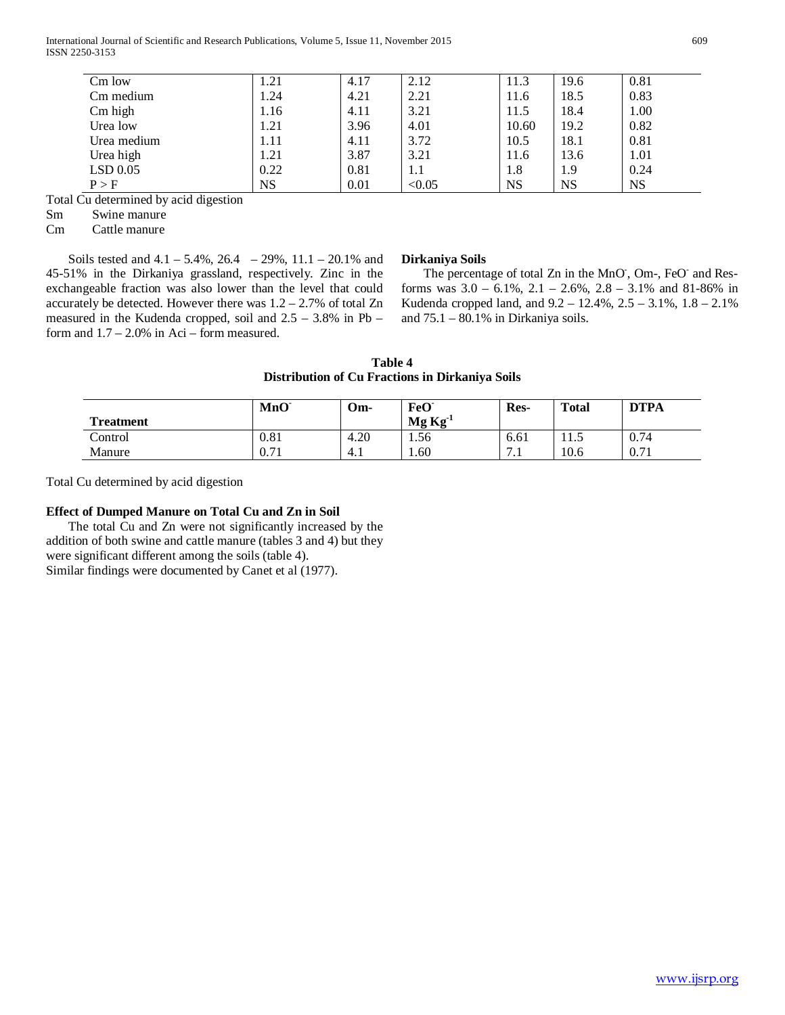International Journal of Scientific and Research Publications, Volume 5, Issue 11, November 2015 609 ISSN 2250-3153

| $Cm$ low    | 1.21      | 4.17 | 2.12   | 11.3      | 19.6      | 0.81 |
|-------------|-----------|------|--------|-----------|-----------|------|
| Cm medium   | 1.24      | 4.21 | 2.21   | 11.6      | 18.5      | 0.83 |
| Cm high     | 1.16      | 4.11 | 3.21   | 11.5      | 18.4      | 1.00 |
| Urea low    | 1.21      | 3.96 | 4.01   | 10.60     | 19.2      | 0.82 |
| Urea medium | 1.11      | 4.11 | 3.72   | 10.5      | 18.1      | 0.81 |
| Urea high   | 1.21      | 3.87 | 3.21   | 11.6      | 13.6      | 1.01 |
| $LSD$ 0.05  | 0.22      | 0.81 | 1.1    | 1.8       | 1.9       | 0.24 |
| P > F       | <b>NS</b> | 0.01 | < 0.05 | <b>NS</b> | <b>NS</b> | NS   |

Total Cu determined by acid digestion

Sm Swine manure

Cm Cattle manure

Soils tested and  $4.1 - 5.4\%$ ,  $26.4 - 29\%$ ,  $11.1 - 20.1\%$  and 45-51% in the Dirkaniya grassland, respectively. Zinc in the exchangeable fraction was also lower than the level that could accurately be detected. However there was  $1.2 - 2.7\%$  of total Zn measured in the Kudenda cropped, soil and 2.5 – 3.8% in Pb – form and  $1.7 - 2.0\%$  in Aci – form measured.

## **Dirkaniya Soils**

The percentage of total Zn in the MnO, Om-, FeO and Resforms was 3.0 – 6.1%, 2.1 – 2.6%, 2.8 – 3.1% and 81-86% in Kudenda cropped land, and 9.2 – 12.4%, 2.5 – 3.1%, 1.8 – 2.1% and 75.1 – 80.1% in Dirkaniya soils.

|                                                 | Table 4 |  |  |
|-------------------------------------------------|---------|--|--|
| Distribution of Cu Fractions in Dirkaniya Soils |         |  |  |

|                  | MnO  | Om-  | FeO <sup>-</sup> | Res-                                       | <b>Total</b> | <b>DTPA</b> |
|------------------|------|------|------------------|--------------------------------------------|--------------|-------------|
| <b>Treatment</b> |      |      | $Mg Kg-1$        |                                            |              |             |
| Control          | 0.81 | 4.20 | 1.56             | 6.61                                       | 1.5          | 0.74        |
| Manure           | 0.71 | 4.1  | $1.60^{\circ}$   | $\overline{ }$<br>$\overline{\phantom{a}}$ | 10.6         | 0.71        |

Total Cu determined by acid digestion

## **Effect of Dumped Manure on Total Cu and Zn in Soil**

 The total Cu and Zn were not significantly increased by the addition of both swine and cattle manure (tables 3 and 4) but they were significant different among the soils (table 4). Similar findings were documented by Canet et al (1977).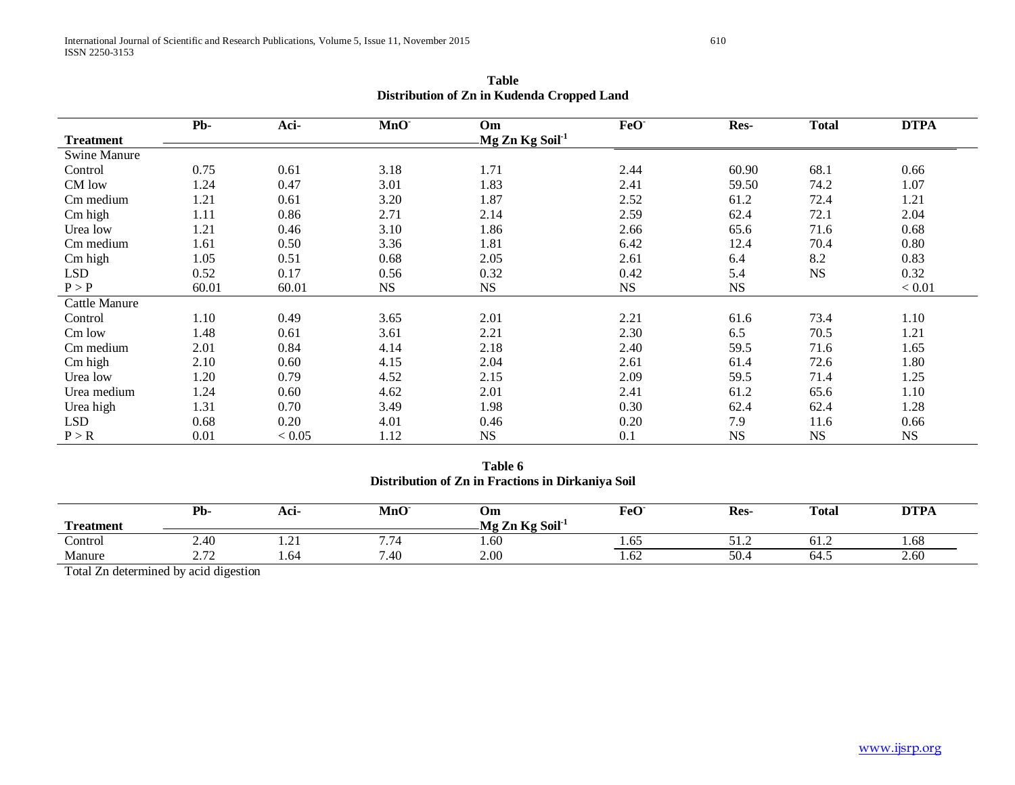|                     | Pb-   | Aci-   | MnO       | Om                         | FeO <sup>-</sup> | Res-      | <b>Total</b> | <b>DTPA</b> |
|---------------------|-------|--------|-----------|----------------------------|------------------|-----------|--------------|-------------|
| <b>Treatment</b>    |       |        |           | Mg Zn Kg Soil <sup>1</sup> |                  |           |              |             |
| <b>Swine Manure</b> |       |        |           |                            |                  |           |              |             |
| Control             | 0.75  | 0.61   | 3.18      | 1.71                       | 2.44             | 60.90     | 68.1         | 0.66        |
| CM low              | 1.24  | 0.47   | 3.01      | 1.83                       | 2.41             | 59.50     | 74.2         | 1.07        |
| Cm medium           | 1.21  | 0.61   | 3.20      | 1.87                       | 2.52             | 61.2      | 72.4         | 1.21        |
| Cm high             | 1.11  | 0.86   | 2.71      | 2.14                       | 2.59             | 62.4      | 72.1         | 2.04        |
| Urea low            | 1.21  | 0.46   | 3.10      | 1.86                       | 2.66             | 65.6      | 71.6         | 0.68        |
| Cm medium           | 1.61  | 0.50   | 3.36      | 1.81                       | 6.42             | 12.4      | 70.4         | 0.80        |
| Cm high             | 1.05  | 0.51   | 0.68      | 2.05                       | 2.61             | 6.4       | 8.2          | 0.83        |
| <b>LSD</b>          | 0.52  | 0.17   | 0.56      | 0.32                       | 0.42             | 5.4       | <b>NS</b>    | 0.32        |
| P > P               | 60.01 | 60.01  | <b>NS</b> | <b>NS</b>                  | <b>NS</b>        | <b>NS</b> |              | < 0.01      |
| Cattle Manure       |       |        |           |                            |                  |           |              |             |
| Control             | 1.10  | 0.49   | 3.65      | 2.01                       | 2.21             | 61.6      | 73.4         | 1.10        |
| Cm low              | 1.48  | 0.61   | 3.61      | 2.21                       | 2.30             | 6.5       | 70.5         | 1.21        |
| Cm medium           | 2.01  | 0.84   | 4.14      | 2.18                       | 2.40             | 59.5      | 71.6         | 1.65        |
| Cm high             | 2.10  | 0.60   | 4.15      | 2.04                       | 2.61             | 61.4      | 72.6         | 1.80        |
| Urea low            | 1.20  | 0.79   | 4.52      | 2.15                       | 2.09             | 59.5      | 71.4         | 1.25        |
| Urea medium         | 1.24  | 0.60   | 4.62      | 2.01                       | 2.41             | 61.2      | 65.6         | 1.10        |
| Urea high           | 1.31  | 0.70   | 3.49      | 1.98                       | 0.30             | 62.4      | 62.4         | 1.28        |
| <b>LSD</b>          | 0.68  | 0.20   | 4.01      | 0.46                       | 0.20             | 7.9       | 11.6         | 0.66        |
| P > R               | 0.01  | < 0.05 | 1.12      | <b>NS</b>                  | 0.1              | <b>NS</b> | NS           | <b>NS</b>   |

**Table Distribution of Zn in Kudenda Cropped Land**

**Table 6 Distribution of Zn in Fractions in Dirkaniya Soil**

| <b>FR3</b><br>Treatment          | Pb-                                                               | Aci-          | MnO         | Om<br>$\leq$ Zn Kg Soil <sup>-1</sup><br>Mg. | FeO <sup>-</sup> | Res-     | <b>Total</b> | <b>DTPA</b> |
|----------------------------------|-------------------------------------------------------------------|---------------|-------------|----------------------------------------------|------------------|----------|--------------|-------------|
| $\tilde{\phantom{a}}$<br>Control | 2.40                                                              | .             | - -<br>1.14 | 1.60                                         | 1.V.             | ے کی ایک | 01.4         | 1.08        |
| Manure                           | $\sqrt{2}$<br>$\overline{\phantom{a}}$ . $\overline{\phantom{a}}$ | $\sim$<br>.64 | 1.40        | 2.00                                         | 1. UZ            | 50.      | 64.J         | 2.60        |

Total Zn determined by acid digestion